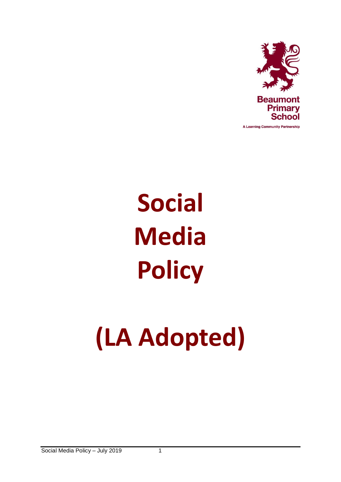

A Learning Community Partnership

# **Social Media Policy**

# **(LA Adopted)**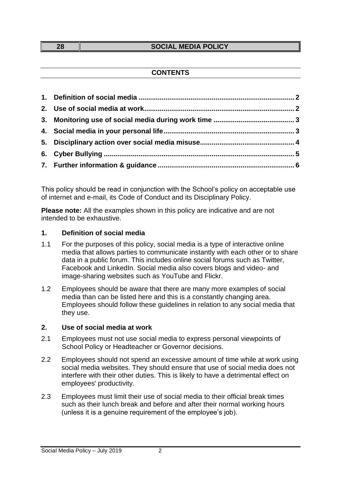#### **28 SOCIAL MEDIA POLICY**

## **CONTENTS**

This policy should be read in conjunction with the School's policy on acceptable use of internet and e-mail, its Code of Conduct and its Disciplinary Policy.

**Please note:** All the examples shown in this policy are indicative and are not intended to be exhaustive.

### <span id="page-1-0"></span>**1. Definition of social media**

- 1.1 For the purposes of this policy, social media is a type of interactive online media that allows parties to communicate instantly with each other or to share data in a public forum. This includes online social forums such as Twitter, Facebook and LinkedIn. Social media also covers blogs and video- and image-sharing websites such as YouTube and Flickr.
- 1.2 Employees should be aware that there are many more examples of social media than can be listed here and this is a constantly changing area. Employees should follow these guidelines in relation to any social media that they use.

### <span id="page-1-1"></span>**2. Use of social media at work**

- 2.1 Employees must not use social media to express personal viewpoints of School Policy or Headteacher or Governor decisions.
- 2.2 Employees should not spend an excessive amount of time while at work using social media websites. They should ensure that use of social media does not interfere with their other duties. This is likely to have a detrimental effect on employees' productivity.
- 2.3 Employees must limit their use of social media to their official break times such as their lunch break and before and after their normal working hours (unless it is a genuine requirement of the employee's job).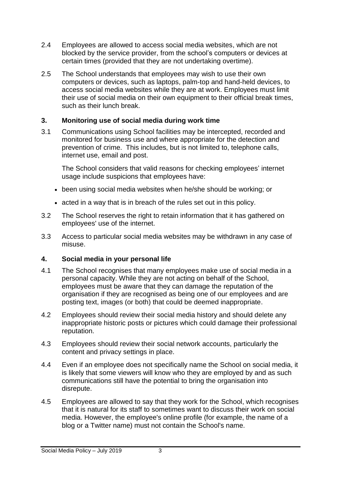- 2.4 Employees are allowed to access social media websites, which are not blocked by the service provider, from the school's computers or devices at certain times (provided that they are not undertaking overtime).
- 2.5 The School understands that employees may wish to use their own computers or devices, such as laptops, palm-top and hand-held devices, to access social media websites while they are at work. Employees must limit their use of social media on their own equipment to their official break times, such as their lunch break.

## <span id="page-2-0"></span>**3. Monitoring use of social media during work time**

3.1 Communications using School facilities may be intercepted, recorded and monitored for business use and where appropriate for the detection and prevention of crime. This includes, but is not limited to, telephone calls, internet use, email and post.

The School considers that valid reasons for checking employees' internet usage include suspicions that employees have:

- been using social media websites when he/she should be working; or
- acted in a way that is in breach of the rules set out in this policy.
- 3.2 The School reserves the right to retain information that it has gathered on employees' use of the internet.
- 3.3 Access to particular social media websites may be withdrawn in any case of misuse.

# <span id="page-2-1"></span>**4. Social media in your personal life**

- 4.1 The School recognises that many employees make use of social media in a personal capacity. While they are not acting on behalf of the School, employees must be aware that they can damage the reputation of the organisation if they are recognised as being one of our employees and are posting text, images (or both) that could be deemed inappropriate.
- 4.2 Employees should review their social media history and should delete any inappropriate historic posts or pictures which could damage their professional reputation.
- 4.3 Employees should review their social network accounts, particularly the content and privacy settings in place.
- 4.4 Even if an employee does not specifically name the School on social media, it is likely that some viewers will know who they are employed by and as such communications still have the potential to bring the organisation into disrepute.
- 4.5 Employees are allowed to say that they work for the School, which recognises that it is natural for its staff to sometimes want to discuss their work on social media. However, the employee's online profile (for example, the name of a blog or a Twitter name) must not contain the School's name.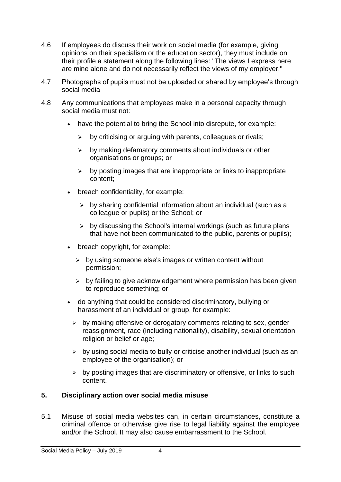- 4.6 If employees do discuss their work on social media (for example, giving opinions on their specialism or the education sector), they must include on their profile a statement along the following lines: "The views I express here are mine alone and do not necessarily reflect the views of my employer."
- 4.7 Photographs of pupils must not be uploaded or shared by employee's through social media
- 4.8 Any communications that employees make in a personal capacity through social media must not:
	- have the potential to bring the School into disrepute, for example:
		- $\triangleright$  by criticising or arguing with parents, colleagues or rivals:
		- $\triangleright$  by making defamatory comments about individuals or other organisations or groups; or
		- $\triangleright$  by posting images that are inappropriate or links to inappropriate content;
	- breach confidentiality, for example:
		- $\triangleright$  by sharing confidential information about an individual (such as a colleague or pupils) or the School; or
		- $\triangleright$  by discussing the School's internal workings (such as future plans that have not been communicated to the public, parents or pupils);
	- breach copyright, for example:
		- $\triangleright$  by using someone else's images or written content without permission;
		- $\triangleright$  by failing to give acknowledgement where permission has been given to reproduce something; or
	- do anything that could be considered discriminatory, bullying or harassment of an individual or group, for example:
		- $\triangleright$  by making offensive or derogatory comments relating to sex, gender reassignment, race (including nationality), disability, sexual orientation, religion or belief or age:
		- $\triangleright$  by using social media to bully or criticise another individual (such as an employee of the organisation); or
		- $\triangleright$  by posting images that are discriminatory or offensive, or links to such content.

# <span id="page-3-0"></span>**5. Disciplinary action over social media misuse**

5.1 Misuse of social media websites can, in certain circumstances, constitute a criminal offence or otherwise give rise to legal liability against the employee and/or the School. It may also cause embarrassment to the School.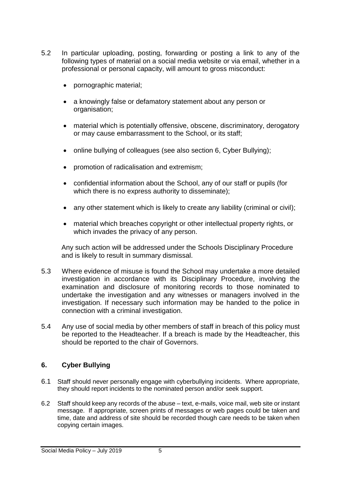- 5.2 In particular uploading, posting, forwarding or posting a link to any of the following types of material on a social media website or via email, whether in a professional or personal capacity, will amount to gross misconduct:
	- pornographic material;
	- a knowingly false or defamatory statement about any person or organisation;
	- material which is potentially offensive, obscene, discriminatory, derogatory or may cause embarrassment to the School, or its staff;
	- online bullying of colleagues (see also section 6, Cyber Bullying);
	- promotion of radicalisation and extremism;
	- confidential information about the School, any of our staff or pupils (for which there is no express authority to disseminate);
	- any other statement which is likely to create any liability (criminal or civil);
	- material which breaches copyright or other intellectual property rights, or which invades the privacy of any person.

Any such action will be addressed under the Schools Disciplinary Procedure and is likely to result in summary dismissal.

- 5.3 Where evidence of misuse is found the School may undertake a more detailed investigation in accordance with its Disciplinary Procedure, involving the examination and disclosure of monitoring records to those nominated to undertake the investigation and any witnesses or managers involved in the investigation. If necessary such information may be handed to the police in connection with a criminal investigation.
- 5.4 Any use of social media by other members of staff in breach of this policy must be reported to the Headteacher. If a breach is made by the Headteacher, this should be reported to the chair of Governors.

## <span id="page-4-0"></span>**6. Cyber Bullying**

- 6.1 Staff should never personally engage with cyberbullying incidents. Where appropriate, they should report incidents to the nominated person and/or seek support.
- 6.2 Staff should keep any records of the abuse text, e-mails, voice mail, web site or instant message. If appropriate, screen prints of messages or web pages could be taken and time, date and address of site should be recorded though care needs to be taken when copying certain images.